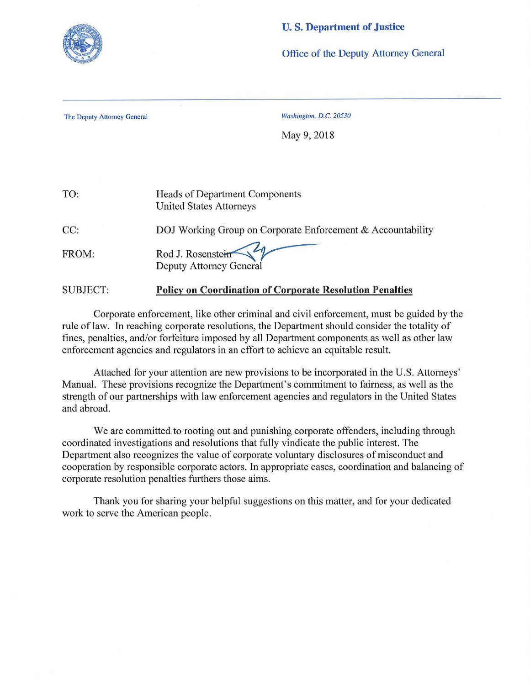

## **U. S. Department of Justice**

Office of the Deputy Attorney General

The Deputy Attorney General *Washington, D.C. 20530* 

May 9, 2018

| TO:             | <b>Heads of Department Components</b><br><b>United States Attorneys</b> |
|-----------------|-------------------------------------------------------------------------|
| CC:             | DOJ Working Group on Corporate Enforcement & Accountability             |
| FROM:           | Rod J. Rosenstein<br><b>Deputy Attorney General</b>                     |
| <b>SUBJECT:</b> | <b>Policy on Coordination of Corporate Resolution Penalties</b>         |

Corporate enforcement, like other criminal and civil enforcement, must be guided by the rule of law. In reaching corporate resolutions, the Department should consider the totality of fines, penalties, and/or forfeiture imposed by all Department components as well as other law enforcement agencies and regulators in an effort to achieve an equitable result.

Attached for your attention are new provisions to be incorporated in the U.S. Attorneys' Manual. These provisions recognize the Department's commitment to fairness, as well as the strength of our partnerships with law enforcement agencies and regulators in the United States and abroad.

We are committed to rooting out and punishing corporate offenders, including through coordinated investigations and resolutions that fully vindicate the public interest. The Department also recognizes the value of corporate voluntary disclosures of misconduct and cooperation by responsible corporate actors. In appropriate cases, coordination and balancing of corporate resolution penalties furthers those aims.

Thank you for sharing your helpful suggestions on this matter, and for your dedicated work to serve the American people.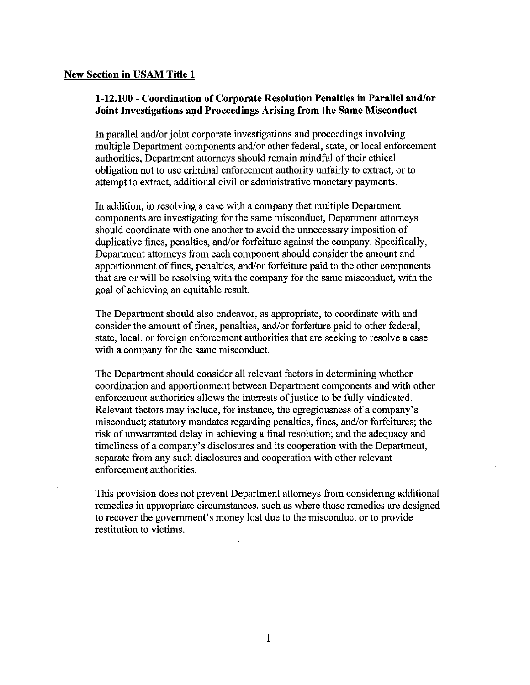## **New Section in USAM Title 1**

## **1-12.100 - Coordination of Corporate Resolution Penalties in Parallel and/or Joint Investigations and Proceedings Arising from the Same Misconduct**

In parallel and/or joint corporate investigations and proceedings involving multiple Department components and/or other federal, state, or local enforcement authorities, Department attorneys should remain mindful of their ethical obligation not to use criminal enforcement authority unfairly to extract, or to attempt to extract, additional civil or administrative monetary payments.

In addition, in resolving a case with a company that multiple Department components are investigating for the same misconduct, Department attorneys should coordinate with one another to avoid the unnecessary imposition of duplicative fines, penalties, and/or forfeiture against the company. Specifically, Department attorneys from each component should consider the amount and apportionment of fines, penalties, and/or forfeiture paid to the other components that are or will be resolving with the company for the same misconduct, with the goal of achieving an equitable result.

The Department should also endeavor, as appropriate, to coordinate with and consider the amount of fines, penalties, and/or forfeiture paid to other federal, state, local, or foreign enforcement authorities that are seeking to resolve a case with a company for the same misconduct.

The Department should consider all relevant factors in determining whether coordination and apportionment between Department components and with other enforcement authorities allows the interests of justice to be fully vindicated. Relevant factors may include, for instance, the egregiousness of a company's misconduct; statutory mandates regarding penalties, fines, and/or forfeitures; the risk of unwarranted delay in achieving a final resolution; and the adequacy and timeliness of a company's disclosures and its cooperation with the Department, separate from any such disclosures and cooperation with other relevant enforcement authorities.

This provision does not prevent Department attorneys from considering additional remedies in appropriate circumstances, such as where those remedies are designed to recover the government's money lost due to the misconduct or to provide restitution to victims.